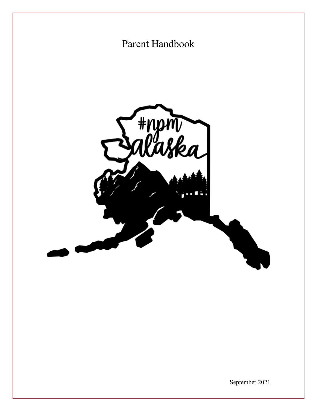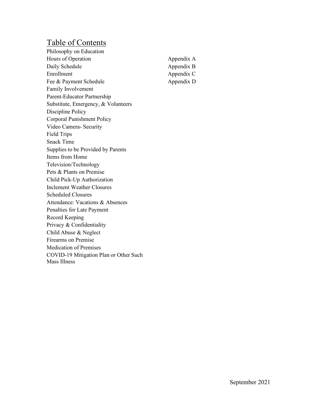### Table of Contents

Philosophy on Education Hours of Operation Daily Schedule Enrollment Fee & Payment Schedule Family Involvement Parent-Educator Partnership Substitute, Emergency, & Volunteers Discipline Policy Corporal Punishment Policy Video Camera- Security Field Trips Snack Time Supplies to be Provided by Parents Items from Home Television/Technology Pets & Plants on Premise Child Pick-Up Authorization Inclement Weather Closures Scheduled Closures Attendance: Vacations & Absences Penalties for Late Payment Record Keeping Privacy & Confidentiality Child Abuse & Neglect Firearms on Premise Medication of Premises COVID-19 Mitigation Plan or Other Such Mass Illness

Appendix A Appendix B Appendix C Appendix D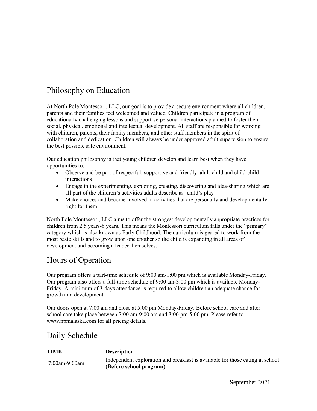### Philosophy on Education

At North Pole Montessori, LLC, our goal is to provide a secure environment where all children, parents and their families feel welcomed and valued. Children participate in a program of educationally challenging lessons and supportive personal interactions planned to foster their social, physical, emotional and intellectual development. All staff are responsible for working with children, parents, their family members, and other staff members in the spirit of collaboration and dedication. Children will always be under approved adult supervision to ensure the best possible safe environment.

Our education philosophy is that young children develop and learn best when they have opportunities to:

- Observe and be part of respectful, supportive and friendly adult-child and child-child interactions
- Engage in the experimenting, exploring, creating, discovering and idea-sharing which are all part of the children's activities adults describe as 'child's play'
- Make choices and become involved in activities that are personally and developmentally right for them

North Pole Montessori, LLC aims to offer the strongest developmentally appropriate practices for children from 2.5 years-6 years. This means the Montessori curriculum falls under the "primary" category which is also known as Early Childhood. The curriculum is geared to work from the most basic skills and to grow upon one another so the child is expanding in all areas of development and becoming a leader themselves.

#### Hours of Operation

Our program offers a part-time schedule of 9:00 am-1:00 pm which is available Monday-Friday. Our program also offers a full-time schedule of 9:00 am-3:00 pm which is available Monday-Friday. A minimum of 3-days attendance is required to allow children an adequate chance for growth and development.

Our doors open at 7:00 am and close at 5:00 pm Monday-Friday. Before school care and after school care take place between 7:00 am-9:00 am and 3:00 pm-5:00 pm. Please refer to www.npmalaska.com for all pricing details.

#### Daily Schedule

#### **TIME Description** 7:00am-9:00am Independent exploration and breakfast is available for those eating at school (**Before school program**)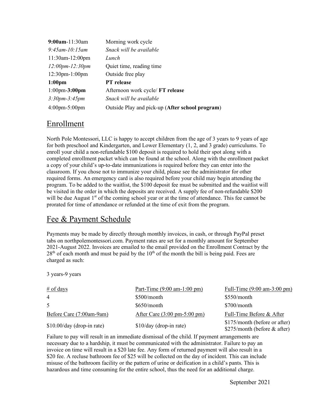| $9:00$ am-11:30am                 | Morning work cycle                              |
|-----------------------------------|-------------------------------------------------|
| $9:45$ am-10:15am                 | Snack will be available                         |
| 11:30am-12:00pm                   | Lunch                                           |
| $12:00pm-12:30pm$                 | Quiet time, reading time                        |
| $12:30$ pm- $1:00$ pm             | Outside free play                               |
| 1:00 <sub>pm</sub>                | <b>PT</b> release                               |
| $1:00$ pm- $3:00$ pm              | Afternoon work cycle/ FT release                |
| $3:30pm-3:45pm$                   | Snack will be available                         |
| $4:00 \text{pm} - 5:00 \text{pm}$ | Outside Play and pick-up (After school program) |

#### Enrollment

North Pole Montessori, LLC is happy to accept children from the age of 3 years to 9 years of age for both preschool and Kindergarten, and Lower Elementary (1, 2, and 3 grade) curriculums. To enroll your child a non-refundable \$100 deposit is required to hold their spot along with a completed enrollment packet which can be found at the school. Along with the enrollment packet a copy of your child's up-to-date immunizations is required before they can enter into the classroom. If you chose not to immunize your child, please see the administrator for other required forms. An emergency card is also required before your child may begin attending the program. To be added to the waitlist, the \$100 deposit fee must be submitted and the waitlist will be visited in the order in which the deposits are received. A supply fee of non-refundable \$200 will be due August  $1<sup>st</sup>$  of the coming school year or at the time of attendance. This fee cannot be prorated for time of attendance or refunded at the time of exit from the program.

### Fee & Payment Schedule

Payments may be made by directly through monthly invoices, in cash, or through PayPal preset tabs on northpolemontessori.com. Payment rates are set for a monthly amount for September 2021-August 2022. Invoices are emailed to the email provided on the Enrollment Contract by the  $28<sup>th</sup>$  of each month and must be paid by the  $10<sup>th</sup>$  of the month the bill is being paid. Fees are charged as such:

3 years-9 years

| $\#$ of days                | Part-Time $(9:00 \text{ am} - 1:00 \text{ pm})$ | Full-Time $(9:00 \text{ am}-3:00 \text{ pm})$                 |
|-----------------------------|-------------------------------------------------|---------------------------------------------------------------|
| 4                           | \$500/month                                     | \$550/month                                                   |
| 5                           | \$650/month                                     | $$700/m$ onth                                                 |
| Before Care (7:00am-9am)    | After Care $(3:00 \text{ pm}-5:00 \text{ pm})$  | Full-Time Before & After                                      |
| $$10.00/day$ (drop-in rate) | \$10/day (drop-in rate)                         | \$175/month (before or after)<br>\$275/month (before & after) |

Failure to pay will result in an immediate dismissal of the child. If payment arrangements are necessary due to a hardship, it must be communicated with the administrator. Failure to pay an invoice on time will result in a \$20 late fee. Any form of returned payment will also result in a \$20 fee. A recluse bathroom fee of \$25 will be collected on the day of incident. This can include misuse of the bathroom facility or the pattern of urine or deification in a child's pants. This is hazardous and time consuming for the entire school, thus the need for an additional charge.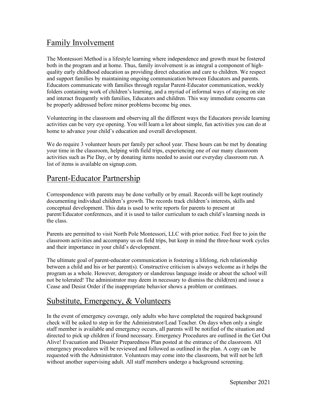### Family Involvement

The Montessori Method is a lifestyle learning where independence and growth must be fostered both in the program and at home. Thus, family involvement is as integral a component of highquality early childhood education as providing direct education and care to children. We respect and support families by maintaining ongoing communication between Educators and parents. Educators communicate with families through regular Parent-Educator communication, weekly folders containing work of children's learning, and a myriad of informal ways of staying on site and interact frequently with families, Educators and children. This way immediate concerns can be properly addressed before minor problems become big ones.

Volunteering in the classroom and observing all the different ways the Educators provide learning activities can be very eye opening. You will learn a lot about simple, fun activities you can do at home to advance your child's education and overall development.

We do require 3 volunteer hours per family per school year. These hours can be met by donating your time in the classroom, helping with field trips, experiencing one of our many classroom activities such as Pie Day, or by donating items needed to assist our everyday classroom run. A list of items is available on signup.com.

### Parent-Educator Partnership

Correspondence with parents may be done verbally or by email. Records will be kept routinely documenting individual children's growth. The records track children's interests, skills and conceptual development. This data is used to write reports for parents to present at parent/Educator conferences, and it is used to tailor curriculum to each child's learning needs in the class.

Parents are permitted to visit North Pole Montessori, LLC with prior notice. Feel free to join the classroom activities and accompany us on field trips, but keep in mind the three-hour work cycles and their importance in your child's development.

The ultimate goal of parent-educator communication is fostering a lifelong, rich relationship between a child and his or her parent(s). Constructive criticism is always welcome as it helps the program as a whole. However, derogatory or slanderous language inside or about the school will not be tolerated! The administrator may deem in necessary to dismiss the child(ren) and issue a Cease and Desist Order if the inappropriate behavior shows a problem or continues.

### Substitute, Emergency, & Volunteers

In the event of emergency coverage, only adults who have completed the required background check will be asked to step in for the Administrator/Lead Teacher. On days when only a single staff member is available and emergency occurs, all parents will be notified of the situation and directed to pick up children if found necessary. Emergency Procedures are outlined in the Get Out Alive! Evacuation and Disaster Preparedness Plan posted at the entrance of the classroom. All emergency procedures will be reviewed and followed as outlined in the plan. A copy can be requested with the Administrator. Volunteers may come into the classroom, but will not be left without another supervising adult. All staff members undergo a background screening.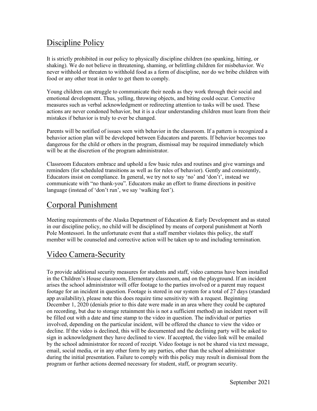## Discipline Policy

It is strictly prohibited in our policy to physically discipline children (no spanking, hitting, or shaking). We do not believe in threatening, shaming, or belittling children for misbehavior. We never withhold or threaten to withhold food as a form of discipline, nor do we bribe children with food or any other treat in order to get them to comply.

Young children can struggle to communicate their needs as they work through their social and emotional development. Thus, yelling, throwing objects, and biting could occur. Corrective measures such as verbal acknowledgment or redirecting attention to tasks will be used. These actions are never condoned behavior, but it is a clear understanding children must learn from their mistakes if behavior is truly to ever be changed.

Parents will be notified of issues seen with behavior in the classroom. If a pattern is recognized a behavior action plan will be developed between Educators and parents. If behavior becomes too dangerous for the child or others in the program, dismissal may be required immediately which will be at the discretion of the program administrator.

Classroom Educators embrace and uphold a few basic rules and routines and give warnings and reminders (for scheduled transitions as well as for rules of behavior). Gently and consistently, Educators insist on compliance. In general, we try not to say 'no' and 'don't', instead we communicate with "no thank-you". Educators make an effort to frame directions in positive language (instead of 'don't run', we say 'walking feet').

### Corporal Punishment

Meeting requirements of the Alaska Department of Education & Early Development and as stated in our discipline policy, no child will be disciplined by means of corporal punishment at North Pole Montessori. In the unfortunate event that a staff member violates this policy, the staff member will be counseled and corrective action will be taken up to and including termination.

# Video Camera-Security

To provide additional security measures for students and staff, video cameras have been installed in the Children's House classroom, Elementary classroom, and on the playground. If an incident arises the school administrator will offer footage to the parties involved or a parent may request footage for an incident in question. Footage is stored in our system for a total of 27 days (standard app availability), please note this does require time sensitivity with a request. Beginning December 1, 2020 (denials prior to this date were made in an area where they could be captured on recording, but due to storage retainment this is not a sufficient method) an incident report will be filled out with a date and time stamp to the video in question. The individual or parties involved, depending on the particular incident, will be offered the chance to view the video or decline. If the video is declined, this will be documented and the declining party will be asked to sign in acknowledgment they have declined to view. If accepted, the video link will be emailed by the school administrator for record of receipt. Video footage is not be shared via text message, email, social media, or in any other form by any parties, other than the school administrator during the initial presentation. Failure to comply with this policy may result in dismissal from the program or further actions deemed necessary for student, staff, or program security.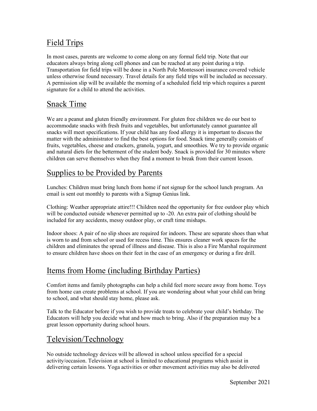## Field Trips

In most cases, parents are welcome to come along on any formal field trip. Note that our educators always bring along cell phones and can be reached at any point during a trip. Transportation for field trips will be done in a North Pole Montessori insurance covered vehicle unless otherwise found necessary. Travel details for any field trips will be included as necessary. A permission slip will be available the morning of a scheduled field trip which requires a parent signature for a child to attend the activities.

### Snack Time

We are a peanut and gluten friendly environment. For gluten free children we do our best to accommodate snacks with fresh fruits and vegetables, but unfortunately cannot guarantee all snacks will meet specifications. If your child has any food allergy it is important to discuss the matter with the administrator to find the best options for food. Snack time generally consists of fruits, vegetables, cheese and crackers, granola, yogurt, and smoothies. We try to provide organic and natural diets for the betterment of the student body. Snack is provided for 30 minutes where children can serve themselves when they find a moment to break from their current lesson.

### Supplies to be Provided by Parents

Lunches: Children must bring lunch from home if not signup for the school lunch program. An email is sent out monthly to parents with a Signup Genius link.

Clothing: Weather appropriate attire!!! Children need the opportunity for free outdoor play which will be conducted outside whenever permitted up to -20. An extra pair of clothing should be included for any accidents, messy outdoor play, or craft time mishaps.

Indoor shoes: A pair of no slip shoes are required for indoors. These are separate shoes than what is worn to and from school or used for recess time. This ensures cleaner work spaces for the children and eliminates the spread of illness and disease. This is also a Fire Marshal requirement to ensure children have shoes on their feet in the case of an emergency or during a fire drill.

# Items from Home (including Birthday Parties)

Comfort items and family photographs can help a child feel more secure away from home. Toys from home can create problems at school. If you are wondering about what your child can bring to school, and what should stay home, please ask.

Talk to the Educator before if you wish to provide treats to celebrate your child's birthday. The Educators will help you decide what and how much to bring. Also if the preparation may be a great lesson opportunity during school hours.

### Television/Technology

No outside technology devices will be allowed in school unless specified for a special activity/occasion. Television at school is limited to educational programs which assist in delivering certain lessons. Yoga activities or other movement activities may also be delivered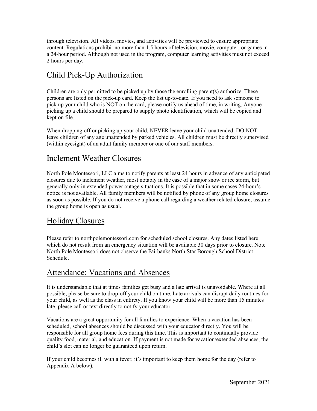through television. All videos, movies, and activities will be previewed to ensure appropriate content. Regulations prohibit no more than 1.5 hours of television, movie, computer, or games in a 24-hour period. Although not used in the program, computer learning activities must not exceed 2 hours per day.

### Child Pick-Up Authorization

Children are only permitted to be picked up by those the enrolling parent(s) authorize. These persons are listed on the pick-up card. Keep the list up-to-date. If you need to ask someone to pick up your child who is NOT on the card, please notify us ahead of time, in writing. Anyone picking up a child should be prepared to supply photo identification, which will be copied and kept on file.

When dropping off or picking up your child, NEVER leave your child unattended. DO NOT leave children of any age unattended by parked vehicles. All children must be directly supervised (within eyesight) of an adult family member or one of our staff members.

#### Inclement Weather Closures

North Pole Montessori, LLC aims to notify parents at least 24 hours in advance of any anticipated closures due to inclement weather, most notably in the case of a major snow or ice storm, but generally only in extended power outage situations. It is possible that in some cases 24-hour's notice is not available. All family members will be notified by phone of any group home closures as soon as possible. If you do not receive a phone call regarding a weather related closure, assume the group home is open as usual.

### Holiday Closures

Please refer to northpolemontessori.com for scheduled school closures. Any dates listed here which do not result from an emergency situation will be available 30 days prior to closure. Note North Pole Montessori does not observe the Fairbanks North Star Borough School District Schedule.

#### Attendance: Vacations and Absences

It is understandable that at times families get busy and a late arrival is unavoidable. Where at all possible, please be sure to drop-off your child on time. Late arrivals can disrupt daily routines for your child, as well as the class in entirety. If you know your child will be more than 15 minutes late, please call or text directly to notify your educator.

Vacations are a great opportunity for all families to experience. When a vacation has been scheduled, school absences should be discussed with your educator directly. You will be responsible for all group home fees during this time. This is important to continually provide quality food, material, and education. If payment is not made for vacation/extended absences, the child's slot can no longer be guaranteed upon return.

If your child becomes ill with a fever, it's important to keep them home for the day (refer to Appendix A below).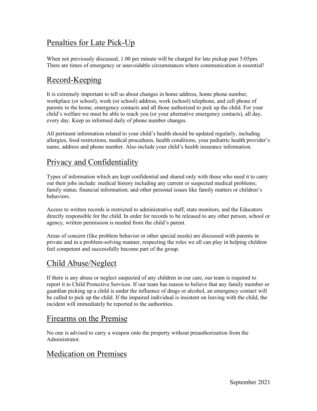### Penalties for Late Pick-Up

When not previously discussed, 1.00 per minute will be charged for late pickup past 5:05pm. There are times of emergency or unavoidable circumstances where communication is essential!

## Record-Keeping

It is extremely important to tell us about changes in home address, home phone number, workplace (or school), work (or school) address, work (school) telephone, and cell phone of parents in the home, emergency contacts and all those authorized to pick up the child. For your child's welfare we must be able to reach you (or your alternative emergency contacts), all day, every day. Keep us informed daily of phone number changes.

All pertinent information related to your child's health should be updated regularly, including allergies, food restrictions, medical procedures, health conditions, your pediatric health provider's name, address and phone number. Also include your child's health insurance information.

### Privacy and Confidentiality

Types of information which are kept confidential and shared only with those who need it to carry out their jobs include: medical history including any current or suspected medical problems; family status; financial information; and other personal issues like family matters or children's behaviors.

Access to written records is restricted to administrative staff, state monitors, and the Educators directly responsible for the child. In order for records to be released to any other person, school or agency, written permission is needed from the child's parent.

Areas of concern (like problem behavior or other special needs) are discussed with parents in private and in a problem-solving manner, respecting the roles we all can play in helping children feel competent and successfully become part of the group.

### Child Abuse/Neglect

If there is any abuse or neglect suspected of any children in our care, our team is required to report it to Child Protective Services. If our team has reason to believe that any family member or guardian picking up a child is under the influence of drugs or alcohol, an emergency contact will be called to pick up the child. If the impaired individual is insistent on leaving with the child, the incident will immediately be reported to the authorities.

### Firearms on the Premise

No one is advised to carry a weapon onto the property without preauthorization from the Administrator.

### Medication on Premises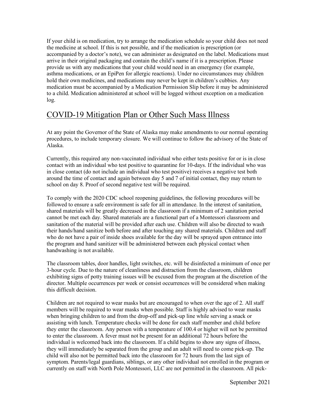If your child is on medication, try to arrange the medication schedule so your child does not need the medicine at school. If this is not possible, and if the medication is prescription (or accompanied by a doctor's note), we can administer as designated on the label. Medications must arrive in their original packaging and contain the child's name if it is a prescription. Please provide us with any medications that your child would need in an emergency (for example, asthma medications, or an EpiPen for allergic reactions). Under no circumstances may children hold their own medicines, and medications may never be kept in children's cubbies. Any medication must be accompanied by a Medication Permission Slip before it may be administered to a child. Medication administered at school will be logged without exception on a medication log.

#### COVID-19 Mitigation Plan or Other Such Mass Illness

At any point the Governor of the State of Alaska may make amendments to our normal operating procedures, to include temporary closure. We will continue to follow the advisory of the State of Alaska.

Currently, this required any non-vaccinated individual who either tests positive for or is in close contact with an individual who test positive to quarantine for 10-days. If the individual who was in close contact (do not include an individual who test positive) receives a negative test both around the time of contact and again between day 5 and 7 of initial contact, they may return to school on day 8. Proof of second negative test will be required.

To comply with the 2020 CDC school reopening guidelines, the following procedures will be followed to ensure a safe environment is safe for all in attendance. In the interest of sanitation, shared materials will be greatly decreased in the classroom if a minimum of 2 sanitation period cannot be met each day. Shared materials are a functional part of a Montessori classroom and sanitation of the material will be provided after each use. Children will also be directed to wash their hands/hand sanitize both before and after touching any shared materials. Children and staff who do not have a pair of inside shoes available for the day will be sprayed upon entrance into the program and hand sanitizer will be administered between each physical contact when handwashing is not available.

The classroom tables, door handles, light switches, etc. will be disinfected a minimum of once per 3-hour cycle. Due to the nature of cleanliness and distraction from the classroom, children exhibiting signs of potty training issues will be excused from the program at the discretion of the director. Multiple occurrences per week or consist occurrences will be considered when making this difficult decision.

Children are not required to wear masks but are encouraged to when over the age of 2. All staff members will be required to wear masks when possible. Staff is highly advised to wear masks when bringing children to and from the drop-off and pick-up line while serving a snack or assisting with lunch. Temperature checks will be done for each staff member and child before they enter the classroom. Any person with a temperature of 100.4 or higher will not be permitted to enter the classroom. A fever must not be present for an additional 72 hours before the individual is welcomed back into the classroom. If a child begins to show any signs of illness, they will immediately be separated from the group and an adult will need to come pick-up. The child will also not be permitted back into the classroom for 72 hours from the last sign of symptom. Parents/legal guardians, siblings, or any other individual not enrolled in the program or currently on staff with North Pole Montessori, LLC are not permitted in the classroom. All pick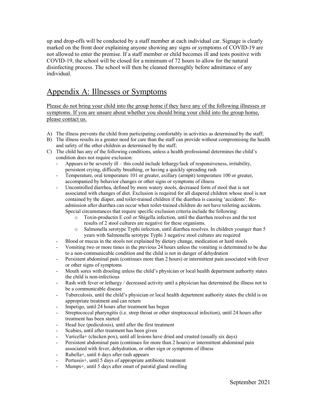up and drop-offs will be conducted by a staff member at each individual car. Signage is clearly marked on the front door explaining anyone showing any signs or symptoms of COVID-19 are not allowed to enter the premise. If a staff member or child becomes ill and tests positive with COVID-19, the school will be closed for a minimum of 72 hours to allow for the natural disinfecting process. The school will then be cleaned thoroughly before admittance of any individual.

#### Appendix A: Illnesses or Symptoms

Please do not bring your child into the group home if they have any of the following illnesses or symptoms. If you are unsure about whether you should bring your child into the group home, please contact us.

- A) The illness prevents the child from participating comfortably in activities as determined by the staff;
- B) The illness results in a greater need for care than the staff can provide without compromising the health and safety of the other children as determined by the staff;
- C) The child has any of the following conditions, unless a health professional determines the child's condition does not require exclusion:
	- Appears to be severely ill this could include lethargy/lack of responsiveness, irritability, persistent crying, difficulty breathing, or having a quickly spreading rash
	- Temperature, oral temperature 101 or greater, axillary (armpit) temperature 100 or greater, accompanied by behavior changes or other signs or symptoms of illness
	- Uncontrolled diarrhea, defined by more watery stools, decreased form of stool that is not associated with changes of diet. Exclusion is required for all diapered children whose stool is not contained by the diaper, and toilet-trained children if the diarrhea is causing 'accidents'. Readmission after diarrhea can occur when toilet-trained children do not have toileting accidents. Special circumstances that require specific exclusion criteria include the following:
		- o Toxin-productin E coil or Shigella infection, until the diarrhea resolves and the test results of 2 stool cultures are negative for these organisms.
		- o Salmonella serotype Typhi infection, until diarrhea resolves. In children younger than 5 years with Salmonella serotype Typhi 3 negative stool cultures are required
	- Blood or mucus in the stools not explained by dietary change, medication or hard stools
	- Vomiting two or more times in the previous 24 hours unless the vomiting is determined to be due to a non-communicable condition and the child is not in danger of dehydration
	- Persistent abdominal pain (continues more than 2 hours) or intermittent pain associated with fever or other signs of symptoms
	- Mouth sores with drooling unless the child's physician or local health department authority states the child is non-infectious
	- Rash with fever or lethargy / decreased activity until a physician has determined the illness not to be a communicable disease
	- Tuberculosis, until the child's physician or local health department authority states the child is on appropriate treatment and can return
	- Impetigo, until 24 hours after treatment has begun
	- Streptococcal pharyngitis (i.e. strep throat or other streptococcal infection), until 24 hours after treatment has been started
	- Head lice (pediculosis), until after the first treatment
	- Scabies, until after treatment has been given
	- Varicella+ (chicken pox), until all lesions have dried and crusted (usually six days)
	- Persistent abdominal pain (continues for more than 2 hours) or intermittent abdominal pain associated with fever, dehydration, or other sign or symptoms of illness
	- Rubella+, until 6 days after rash appears
	- Pertussis<sup>+</sup>, until 5 days of appropriate antibiotic treatment
	- Mumps+, until 5 days after onset of parotid gland swelling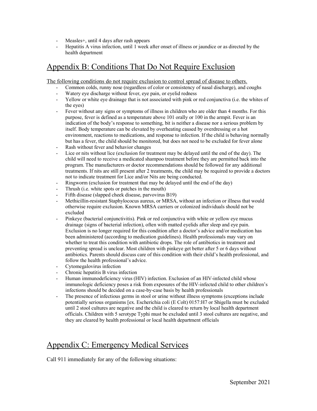- Measles+, until 4 days after rash appears
- Hepatitis A virus infection, until 1 week after onset of illness or jaundice or as directed by the health department

### Appendix B: Conditions That Do Not Require Exclusion

The following conditions do not require exclusion to control spread of disease to others.

- Common colds, runny nose (regardless of color or consistency of nasal discharge), and coughs
- Watery eye discharge without fever, eye pain, or eyelid redness
- Yellow or white eye drainage that is not associated with pink or red conjunctiva (i.e. the whites of the eyes)
- Fever without any signs or symptoms of illness in children who are older than 4 months. For this purpose, fever is defined as a temperature above 101 orally or 100 in the armpit. Fever is an indication of the body's response to something, bit is neither a disease nor a serious problem by itself. Body temperature can be elevated by overheating caused by overdressing or a hot environment, reactions to medications, and response to infection. If the child is behaving normally but has a fever, the child should be monitored, but does not need to be excluded for fever alone
- Rash without fever and behavior changes
- Lice or nits without lice (exclusion for treatment may be delayed until the end of the day). The child will need to receive a medicated shampoo treatment before they are permitted back into the program. The manufacturers or doctor recommendations should be followed for any additional treatments. If nits are still present after 2 treatments, the child may be required to provide a doctors not to indicate treatment for Lice and/or Nits are being conducted.
- Ringworm (exclusion for treatment that may be delayed until the end of the day)
- Thrush (i.e. white spots or patches in the mouth)
- Fifth disease (slapped cheek disease, parvovirus B19)
- Methicillin-resistant Staphylococus aureus, or MRSA, without an infection or illness that would otherwise require exclusion. Known MRSA carriers or colonized individuals should not be excluded
- Pinkeye (bacterial conjunctivitis). Pink or red conjunctiva with white or yellow eye mucus drainage (signs of bacterial infection), often with matted eyelids after sleep and eye pain. Exclusion is no longer required for this condition after a doctor's advice and/or medication has been administered (according to medication guidelines). Health professionals may vary on whether to treat this condition with antibiotic drops. The role of antibiotics in treatment and preventing spread is unclear. Most children with pinkeye get better after 5 or 6 days without antibiotics. Parents should discuss care of this condition with their child's health professional, and follow the health professional's advice.
- Cytomegalovirus infection
- Chronic hepatitis B virus infection
- Human immunodeficiency virus (HIV) infection. Exclusion of an HIV-infected child whose immunologic deficiency poses a risk from exposures of the HIV-infected child to other children's infections should be decided on a case-by-case basis by health professionals
- The presence of infectious germs in stool or urine without illness symptoms (exceptions include potentially serious organisms [ex. Escherichia coli (E Colt) 0157:H7 or Shigella must be excluded until 2 stool cultures are negative and the child is cleared to return by local health department officials. Children with 5 serotype Typhi must be excluded until 3 stool cultures are negative, and they are cleared by health professional or local health department officials

### Appendix C: Emergency Medical Services

Call 911 immediately for any of the following situations: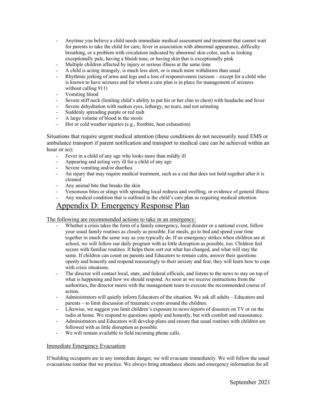- Anytime you believe a child needs immediate medical assessment and treatment that cannot wait for parents to take the child for care; fever in association with abnormal appearance, difficulty breathing, or a problem with circulation indicated by abnormal skin color, such as looking exceptionally pale, having a bluish tone, or having skin that is exceptionally pink
- Multiple children affected by injury or serious illness at the same time
- A child is acting strangely, is much less alert, or is much more withdrawn than usual
- Rhythmic jerking of arms and legs and a loss of responsiveness (seizure except for a child who is known to have seizures and for whom a care plan is in place for management of seizures without calling 911)
- Vomiting blood
- Severe stiff neck (limiting child's ability to put his or her chin to chest) with headache and fever
- Severe dehydration with sunken eyes, lethargy, no tears, and not urinating
- Suddenly spreading purple or red rash
- A large volume of blood in the stools
- Hot or cold weather injuries (e.g., frostbite, heat exhaustion)

Situations that require urgent medical attention (these conditions do not necessarily need EMS or ambulance transport if parent notification and transport to medical care can be achieved within an hour or so):

- Fever in a child of any age who looks more than mildly ill
- Appearing and acting very ill for a child of any age
- Severe vomiting and/or diarrhea
- An injury that may require medical treatment, such as a cut that does not hold together after it is cleaned
- Any animal bite that breaks the skin
- Venomous bites or stings with spreading local redness and swelling, or evidence of general illness - Any medical condition that is outlined in the child's care plan as requiring medical attention

### Appendix D: Emergency Response Plan

#### The following are recommended actions to take in an emergency:

- Whether a crisis takes the form of a family emergency, local disaster or a national event, follow your usual family routines as closely as possible. Eat meals, go to bed and spend your time together in much the same way as you typically do. If an emergency strikes when children are at school, we will follow our daily program with as little disruption as possible, too. Children feel secure with familiar routines. It helps them sort out what has changed, and what will stay the same. If children can count on parents and Educators to remain calm, answer their questions openly and honestly and respond reassuringly to their anxiety and fear, they will learn how to cope with crisis situations.
- The director will contact local, state, and federal officials, and listens to the news to stay on top of what is happening and how we should respond. As soon as we receive instructions from the authorities, the director meets with the management team to execute the recommended course of action.
- Administrators will quietly inform Educators of the situation. We ask all adults Educators and parents – to limit discussion of traumatic events around the children.
- Likewise, we suggest you limit children's exposure to news reports of disasters on TV or on the radio at home. We respond to questions openly and honestly, but with comfort and reassurance.
- Administrators and Educators will develop plans and ensure that usual routines with children are followed with as little disruption as possible.
- We will remain available to field incoming phone calls.

#### Immediate Emergency Evacuation

If building occupants are in any immediate danger, we will evacuate immediately. We will follow the usual evacuations routine that we practice. We always bring attendance sheets and emergency information for all